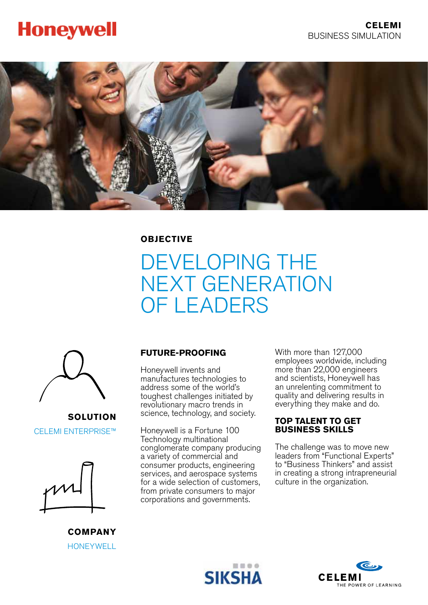# **Honeywell**



**OBJECTIVE**

# DEVELOPING THE NEXT GENERATION OF LEADERS



**SOLUTION** CELEMI ENTERPRISE™



**COMPANY HONEYWELL** 

# **FUTURE-PROOFING**

Honeywell invents and manufactures technologies to address some of the world's toughest challenges initiated by revolutionary macro trends in science, technology, and society.

Honeywell is a Fortune 100 Technology multinational conglomerate company producing a variety of commercial and consumer products, engineering services, and aerospace systems for a wide selection of customers, from private consumers to major corporations and governments.

With more than 127,000 employees worldwide, including more than 22,000 engineers and scientists, Honeywell has an unrelenting commitment to quality and delivering results in everything they make and do.

#### **TOP TALENT TO GET BUSINESS SKILLS**

The challenge was to move new leaders from "Functional Experts" to "Business Thinkers" and assist in creating a strong intrapreneurial culture in the organization.